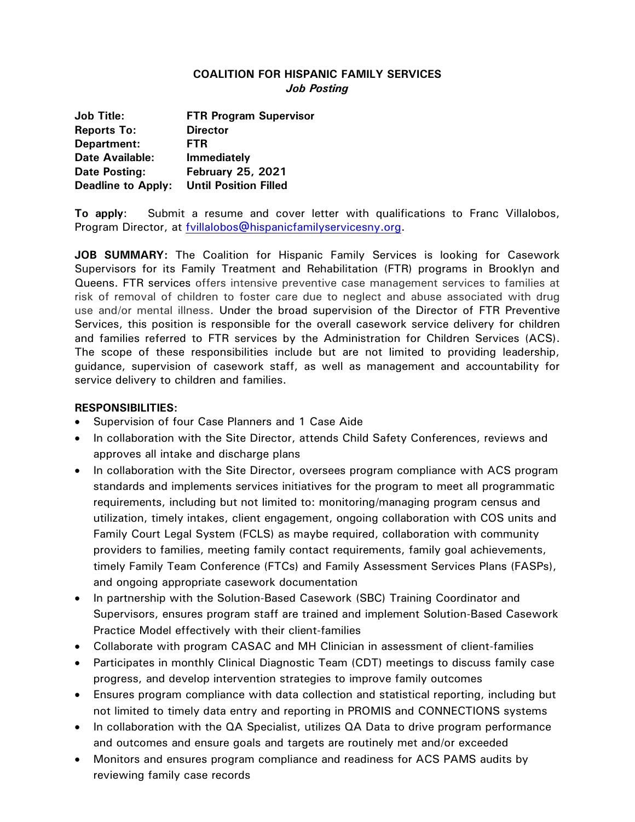## **COALITION FOR HISPANIC FAMILY SERVICES** *Job Posting*

**Job Title: FTR Program Supervisor Reports To: Director Department: FTR Date Available: Immediately Date Posting: February 25, 2021 Deadline to Apply: Until Position Filled**

**To apply**: Submit a resume and cover letter with qualifications to Franc Villalobos, Program Director, at [fvillalobos@hispanicfamilyservicesny.org.](mailto:fvillalobos@hispanicfamilyservicesny.org)

**JOB SUMMARY:** The Coalition for Hispanic Family Services is looking for Casework Supervisors for its Family Treatment and Rehabilitation (FTR) programs in Brooklyn and Queens. FTR services offers intensive preventive case management services to families at risk of removal of children to foster care due to neglect and abuse associated with drug use and/or mental illness. Under the broad supervision of the Director of FTR Preventive Services, this position is responsible for the overall casework service delivery for children and families referred to FTR services by the Administration for Children Services (ACS). The scope of these responsibilities include but are not limited to providing leadership, guidance, supervision of casework staff, as well as management and accountability for service delivery to children and families.

## **RESPONSIBILITIES:**

- Supervision of four Case Planners and 1 Case Aide
- In collaboration with the Site Director, attends Child Safety Conferences, reviews and approves all intake and discharge plans
- In collaboration with the Site Director, oversees program compliance with ACS program standards and implements services initiatives for the program to meet all programmatic requirements, including but not limited to: monitoring/managing program census and utilization, timely intakes, client engagement, ongoing collaboration with COS units and Family Court Legal System (FCLS) as maybe required, collaboration with community providers to families, meeting family contact requirements, family goal achievements, timely Family Team Conference (FTCs) and Family Assessment Services Plans (FASPs), and ongoing appropriate casework documentation
- In partnership with the Solution-Based Casework (SBC) Training Coordinator and Supervisors, ensures program staff are trained and implement Solution-Based Casework Practice Model effectively with their client-families
- Collaborate with program CASAC and MH Clinician in assessment of client-families
- Participates in monthly Clinical Diagnostic Team (CDT) meetings to discuss family case progress, and develop intervention strategies to improve family outcomes
- Ensures program compliance with data collection and statistical reporting, including but not limited to timely data entry and reporting in PROMIS and CONNECTIONS systems
- In collaboration with the QA Specialist, utilizes QA Data to drive program performance and outcomes and ensure goals and targets are routinely met and/or exceeded
- Monitors and ensures program compliance and readiness for ACS PAMS audits by reviewing family case records